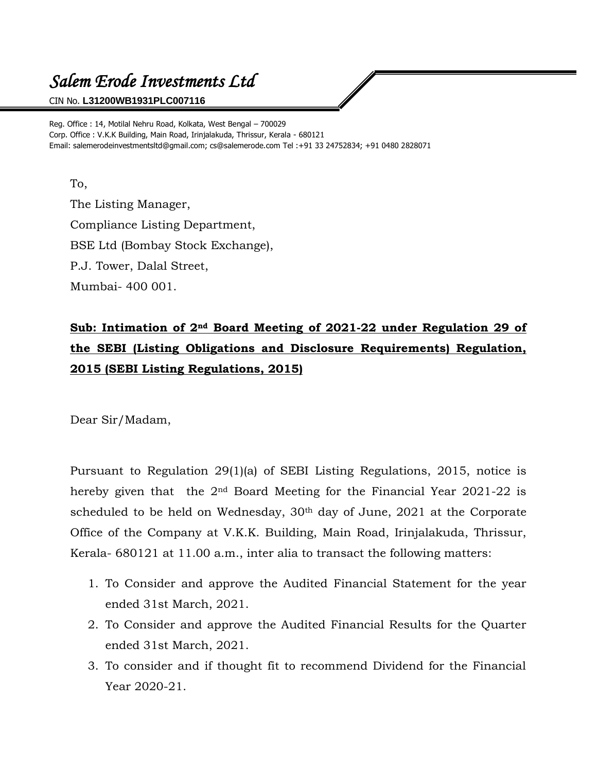## *Salem Erode Investments Ltd*

CIN No. **L31200WB1931PLC007116**

Reg. Office : 14, Motilal Nehru Road, Kolkata, West Bengal – 700029 Corp. Office : V.K.K Building, Main Road, Irinjalakuda, Thrissur, Kerala - 680121 Email: salemerodeinvestmentsltd@gmail.com; cs@salemerode.com Tel :+91 33 24752834; +91 0480 2828071

## To,

The Listing Manager, Compliance Listing Department, BSE Ltd (Bombay Stock Exchange), P.J. Tower, Dalal Street, Mumbai- 400 001.

## **Sub: Intimation of 2nd Board Meeting of 2021-22 under Regulation 29 of the SEBI (Listing Obligations and Disclosure Requirements) Regulation, 2015 (SEBI Listing Regulations, 2015)**

Dear Sir/Madam,

Pursuant to Regulation 29(1)(a) of SEBI Listing Regulations, 2015, notice is hereby given that the 2nd Board Meeting for the Financial Year 2021-22 is scheduled to be held on Wednesday, 30<sup>th</sup> day of June, 2021 at the Corporate Office of the Company at V.K.K. Building, Main Road, Irinjalakuda, Thrissur, Kerala- 680121 at 11.00 a.m., inter alia to transact the following matters:

- 1. To Consider and approve the Audited Financial Statement for the year ended 31st March, 2021.
- 2. To Consider and approve the Audited Financial Results for the Quarter ended 31st March, 2021.
- 3. To consider and if thought fit to recommend Dividend for the Financial Year 2020-21.